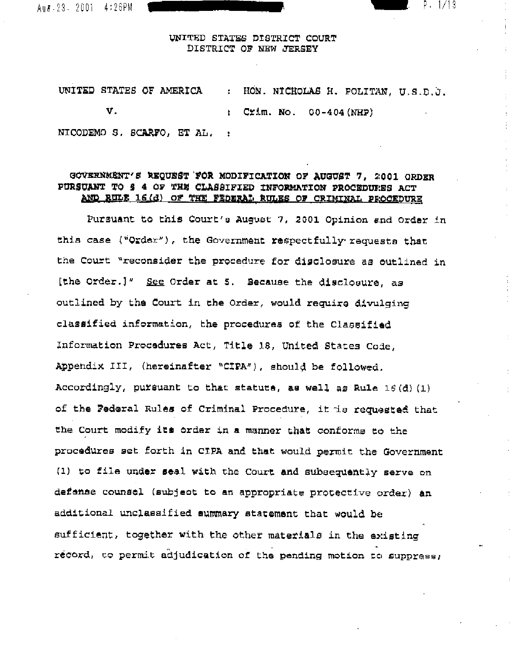Aus. 23. 2001 4:26PM

### UNITED STATES DISTRICT COURT DISTRICT OF NEW JERSEY

P. 1/13

UNITED STATES OF AMERICA : HON. NICHOLAS H. POLITAN, U.S.D.J.  $\mathbf{v}_r$ :  $Cz/m.$  No.  $00-404(NHP)$ NICODEMO S. SCARFO. ET AL. :

## GOVERNMENT'S REQUEST FOR MODIFICATION OF AUGUST 7, 2001 ORDER PURSUANT TO & 4 OF THE CLASSIFIED INFORMATION PROCEDURES ACT AND RULE 16(d) OF THE FEDERAL RULES OF CRIMINAL PROCEDURE

Pursuant to this Court's August 7, 2001 Opinion and Order in this case ("Order"), the Government respectfully requests that the Court "reconsider the procedure for disclosure as outlined in [the Order.]" See Order at 5. Because the disclosure, as outlined by the Court in the Order, would require divulging classified information, the procedures of the Classified Information Procedures Act, Title 18, United States Code, Appendix III, (hereinafter "CIPA"), should be followed. Accordingly, pursuant to that statute, as well as Rule 16(d)(1) of the Federal Rules of Criminal Procedure, it is requested that the Court modify its order in a manner that conforms to the procedures set forth in CIPA and that would permit the Government (1) to file under seal with the Court and subsequently serve on defense counsel (subject to an appropriate protective order) an additional unclassified summary statement that would be sufficient, together with the other materials in the existing record, to permit adjudication of the pending motion to suppress;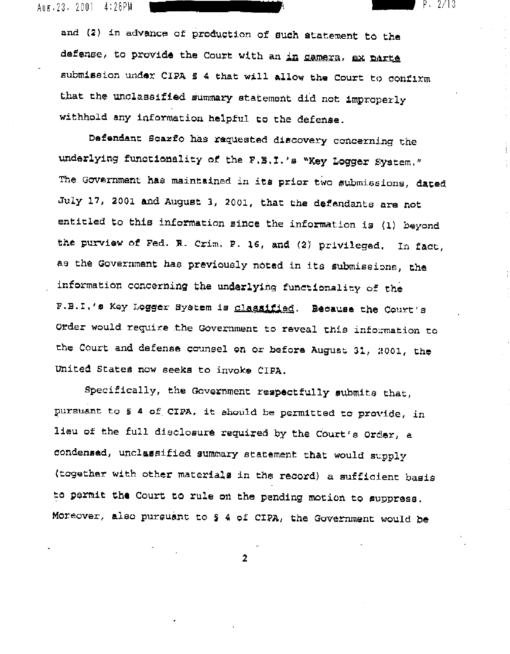Aug.23, 2001 4:26PM

> and (2) in advance of production of such atatement to the defense, to provide the Court with an in camera, ax parte submission under CIPA \$ 4 that will allow the Court to confirm that the unclassified summary statement did not improperly withhold any information helpful to the defense.

P. 2/13

Defendant Scarfo has requested discovery concerning the underlying functionality of the F.B.I.'s "Key Logger System." The Government has maintained in its prior two submissions, dated July 17, 2001 and August 3, 2001, that the defendants are not entitled to this information since the information is (1) beyond the purview of Fed. R. Crim, P. 16, and (2) privileged. In fact, as the Government has previously noted in its submissions, the information concerning the underlying functionality of the F.B.I.'s Key Logger System is classified. Because the Court's Order would require the Government to reveal this information to the Court and defense counsel on or before August 31, 2001, the United States now seeks to invoke CIPA.

Specifically, the Government respectfully submits that, pursuant to 5 4 of CIPA, it should be permitted to provide, in lieu of the full disclosure required by the Court's Order, a condensed, unclassified summary statement that would supply (together with other materials in the record) a sufficient basis to permit the Court to rule on the pending motion to suppress. Moreover, also pursuant to § 4 of CIPA, the Government would be

 $\overline{2}$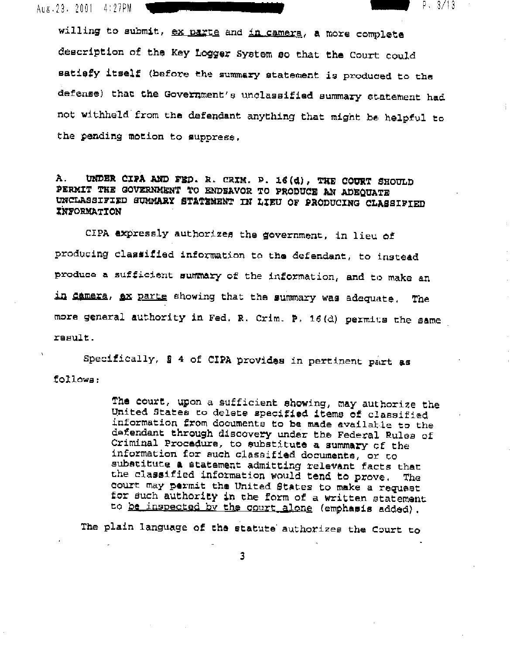Aug. 23. 2001 4:27PM

willing to submit, ex parte and in camera, a more complete description of the Key Logger System so that the Court could satiefy itself (before the summary statement is produced to the defense) that the Government's unclassified summary statement had not withheld from the defendant anything that might be helpful to the pending motion to suppress.

 $P. 3/13$ 

UNDER CIPA AND FED. R. CRIM. P. 16(d), THE COURT SHOULD Ά. PERMIT THE GOVERNMENT TO ENDEAVOR TO PRODUCE AN ADEQUATE UNCLASSIFIED SUMMARY STATEMENT IN LIEU OF PRODUCING CLASSIFIED **INFORMATION** 

CIPA expressly authorizes the government, in lieu of producing classified information to the defendant, to instead produce a sufficient summary of the information, and to make an in Camera, ax parte showing that the summary was adequate. The more general authority in Fed. R. Crim. P. 16(d) permits the same result.

Specifically, § 4 of CIPA provides in pertinent part as follows:

> The court, upon a sufficient showing, may authorize the United States to delete specified items of classified information from documents to be made available to the defendant through discovery under the Federal Rules of Criminal Procedure, to substitute a summary of the information for such classified documents, or to substitute a statement admitting relevant facts that the classified information would tend to prove. The court may permit the United States to make a request for such authority in the form of a written statement to be inspected by the court alone (emphasis added).

The plain language of the statute authorizes the Court to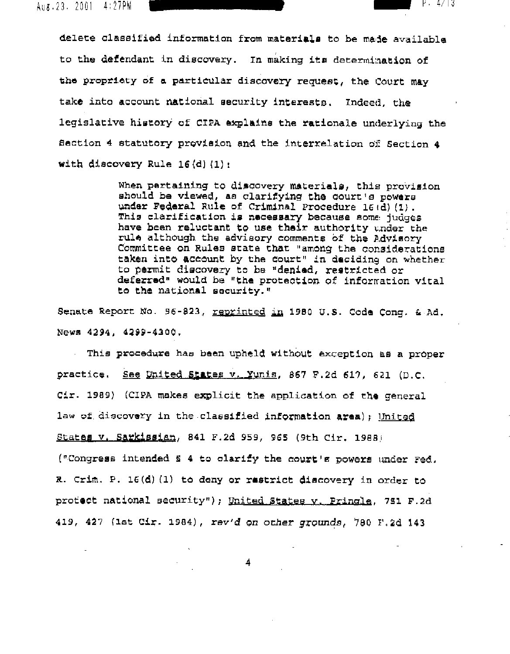Aug. 23. 2001 4:27PM

delete classified information from materials to be made available to the defendant in discovery. In making its determination of the propriety of a particular discovery request, the Court may take into account national security interests. Indeed, the legislative history of CIPA explains the rationale underlying the Section 4 statutory provision and the interrelation of Section 4 with discovery Rule  $16(d)(1)$ :

> When pertaining to discovery materials, this provision should be viewed, as clarifying the court's powers under Federal Rule of Criminal Procedure 16(d)(1). This clarification is necessary because some judges have been reluctant to use their authority under the rule although the advisory comments of the Advisory Committee on Rules state that "among the considerations taken into account by the court" in deciding on whether to permit discovery to be "denied, restricted or deferred" would be "the protection of information vital to the national security."

P. 4/13

Senate Report No. 96-823, reprinted in 1980 U.S. Code Cong. & Ad. News 4294, 4299-4300.

This procedure has been upheld without exception as a proper practice. See United States v. Yunis, 867 F.2d 617, 621 (D.C. Cir. 1989) (CIPA makes explicit the application of the general law of discovery in the classified information area); United States v. Sarkissian, 841 F.2d 959, 965 (9th Cir. 1988)

("Congress intended 5 4 to clarify the court's powers under Fed. R. Crim. P. 16(d) (1) to deny or restrict discovery in order to protect national security"); United States v. Pringle, 751 F.2d 419, 427 (1st Cir. 1984), rev'd on other grounds, 780 F.2d 143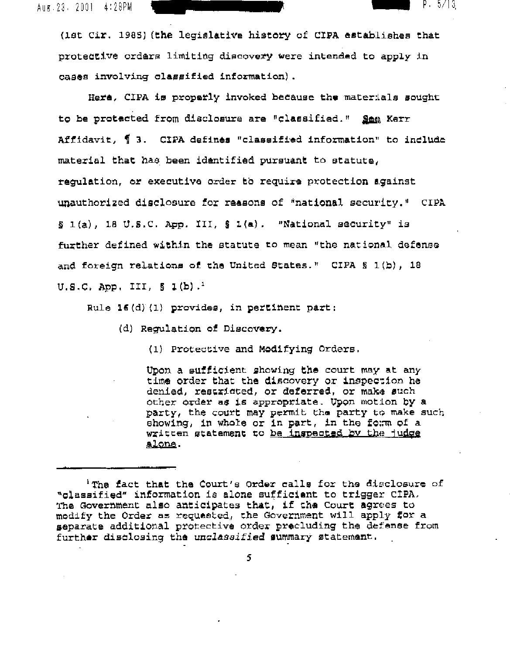Aug. 23. 2001 4:28PM

(lst Cir. 1985) (the legislative history of CIPA establishes that protective orders limiting discovery were intended to apply in cases involving classified information).

 $5/13$ 

Here, CIPA is properly invoked because the materials sought to be protacted from disclosure are "classified." See Kerr Affidavit, 1 3. CIPA defines "classified information" to include material that has been identified pursuant to statute, requlation, or executive order to require protection against unauthorized disclosure for reasons of "national security." CIPA § 1(a), 18 U.S.C. App. III, § 1(a). "National security" is further defined within the statute to mean "the national defense and foreign relations of the United States." CIPA § 1(b), 18 U.S.C. App. III,  $\S$  1(b).<sup>1</sup>

Rule 16(d)(1) provides, in pertinent part:

(d) Regulation of Discovery.

(1) Protective and Modifying Orders.

Upon a sufficient showing the court may at any time order that the discovery or inspection he denied, restricted, or deferred, or make such other order as is appropriate. Upon motion by a party, the court may permit the party to make such showing, in whole or in part, in the form of a written statement to be inspected by the judge alone.

<sup>&</sup>lt;sup>1</sup> The fact that the Court's Order calls for the disclosure of "classified" information is alone sufficient to trigger CIPA. The Government also anticipates that, if the Court agrees to modify the Order as requested, the Government will apply for a separate additional protective order precluding the defense from further disclosing the unclassified summary statement.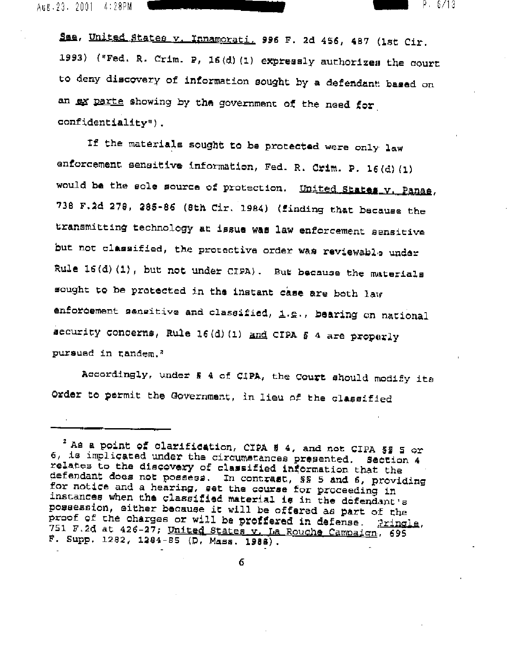Aug.23. 2001 4:28PM

See, United States v. Innamorati, 996 F. 2d 456, 487 (1st Cir. 1993) ("Fed. R. Crim. P, 16(d)(1) expressly authorizes the court to deny discovery of information sought by a defendant based on an ex parte showing by the government of the need for confidentiality").

P. 6/13

If the materials sought to be protected were only law enforcement sensitive information, Fed. R. Crim. P. 16(d)(1) would be the sole source of protection. United States v. Panas, 738 F.2d 278, 285-86 (8th Cir. 1984) (finding that because the transmitting technology at issue was law enforcement sensitive but not classified, the protective order was reviewable under Rule 16(d)(1), but not under CIPA). But because the materials sought to be protected in the instant case are both law enforcement sensitive and classified, i.g., bearing on national security concerns, Rule 16(d)(1) and CIPA \$ 4 are properly pursued in tandem.<sup>2</sup>

Accordingly, under § 4 of CIPA, the Court should modify its Order to permit the Government, in lieu of the classified

 $^2$  As a point of clarification, CIPA § 4, and not CIPA § § 5 or 6, is implicated under the circumstances presented. Section 4 relates to the discovery of classified information that the defendant does not possess. In contrast, SS 5 and 6, providing for notice and a hearing, set the course for proceeding in instances when the classified material is in the defendant's possession, either because it will be offered as part of the proof of the charges or will be proffered in defense. Pringle, 751 F.2d at 426-27; United States v. La Rouche Campaign, 695 F. Supp. 1282, 1284-85 (D. Mass. 1988).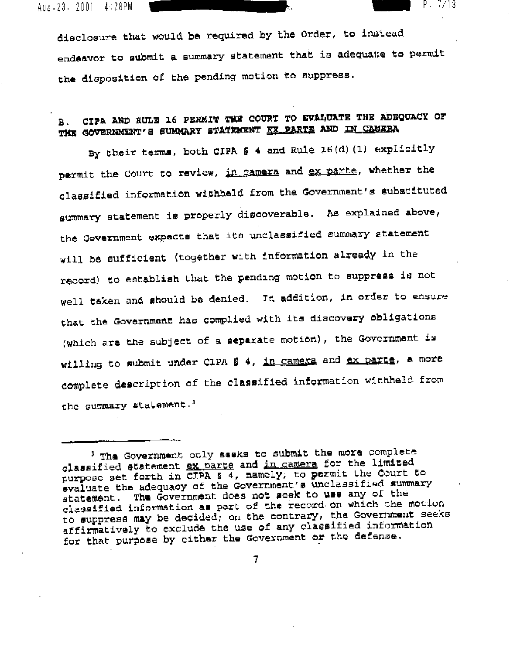Aug.23. 2001 4:28PM

disclosure that would be required by the Order, to instead endeavor to submit a summary statement that is adequate to permit the disposition of the pending motion to suppress.

P. 7/13

#### CIPA AND RULE 16 PERMIT THE COURT TO EVALUATE THE ADEQUACY OF в. THE GOVERNMENT'S SUMMARY STATEMENT EX PARTE AND IN CAMERA

By their terms, both CIPA § 4 and Rule 16(d) (1) explicitly permit the Court to review, in camera and ex parte, whether the classified information withheld from the Government's substituted summary statement is properly discoverable. As explained above, the Government expects that its unclassified summary statement will be sufficient (together with information already in the record) to establish that the pending motion to suppress is not well taken and should be denied. In addition, in order to ensure that the Government has complied with its discovery obligations (which are the subject of a separate motion), the Government is willing to submit under CIPA § 4, in camera and ex parts, a more complete description of the classified information withheld from the summary statement.<sup>3</sup>

<sup>&#</sup>x27; The Government only seeks to submit the more complete classified statement ex parte and in camera for the limited purpose set forth in CIPA s 4, namely, to permit the Court to evaluate the adequacy of the Government's unclassified summary statement. The Government does not seek to use any of the classified information as part of the record on which the motion to supprese may be decided; on the contrary, the Government seeks affirmatively to exclude the use of any classified information for that purpose by either the Government or the defense.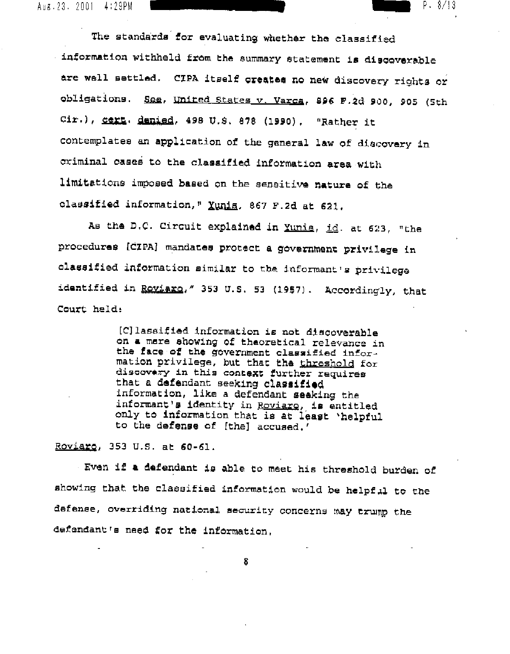Aus.23.2001 4:29PM

The standards for evaluating whether the classified information withheld from the summary statement is discoverable are well settled. CIPA itself creates no new discovery rights or obligations. See, United States v. Varca, 896 F.2d 900, 905 (5th Cir.), Sert. denied, 498 U.S. 878 (1990). "Rather it contemplates an application of the general law of discovery in criminal cases to the classified information area with limitations imposed based on the sensitive nature of the classified information," Yunia, 867 F.2d at 621.

P. 8/13

As the D.C. Circuit explained in Xunia, id. at 623, "the procedures [CIPA] mandates protect a government privilege in olassified information similar to the informant's privilege identified in Royiaro," 353 U.S. 53 (1957). Accordingly, that Court held:

> [C] lassified information is not discoverable on a mere showing of theoretical relevance in the face of the government classified information privilege, but that the threshold for discovery in this context further requires that a defendant seeking classified information, like a defendant seeking the informant's identity in Roviare, is entitled only to information that is at least 'helpful to the defense of [the] accused.'

Roviaro, 353 U.S. at 60-61.

Even if a defendant is able to meet his threshold burden of showing that the classified information would be helpful to the defense, overriding national security concerns may trump the defendant's need for the information.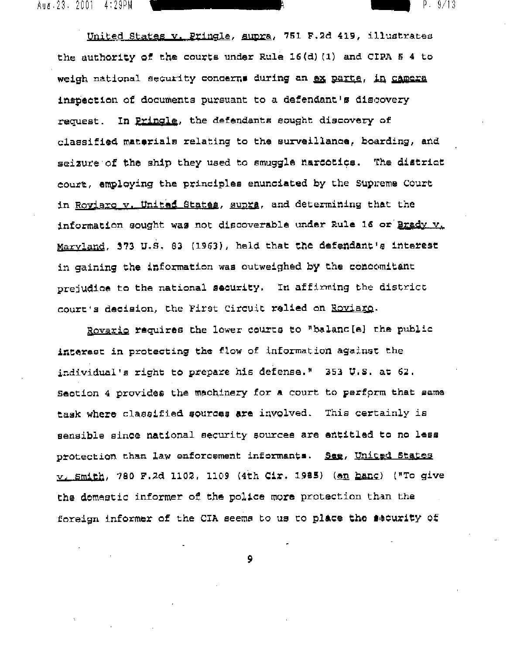United States v. Pringle, supra, 751 F.2d 419, illustrates the authority of the courts under Rule 16(d)(1) and CIPA \$ 4 to weigh national security concerns during an ex parte, in camera inspection of documents pursuant to a defendant's discovery request. In Pringle, the defendants sought discovery of classified materials relating to the surveillance, boarding, and seizure of the ship they used to smuggle narcotics. The district court, employing the principles enunciated by the Supreme Court in Royiaro v. United States, supra, and determining that the information sought was not discoverable under Rule 16 or Brady v. Marvland, 373 U.S. 83 (1963), held that the defendant's interest in gaining the information was outweighed by the concomitant prejudice to the national security. In affirming the district court's decision, the First Circuit relied on Roviaro.

P. 9/13

Rovario requires the lower courts to "balanc[e] the public interest in protecting the flow of information against the individual's right to prepare his defense." 353 U.S. at 62. Section 4 provides the machinery for a court to perform that same task where classified sources are involved. This certainly is sensible since national security sources are entitled to no less protection than law enforcement informants. See, United States v. Smith, 780 F.2d 1102, 1109 (4th Cir. 1985) (en hanc) ("To give the domestic informer of the police more protection than the foreign informer of the CIA seems to us to place the security of

و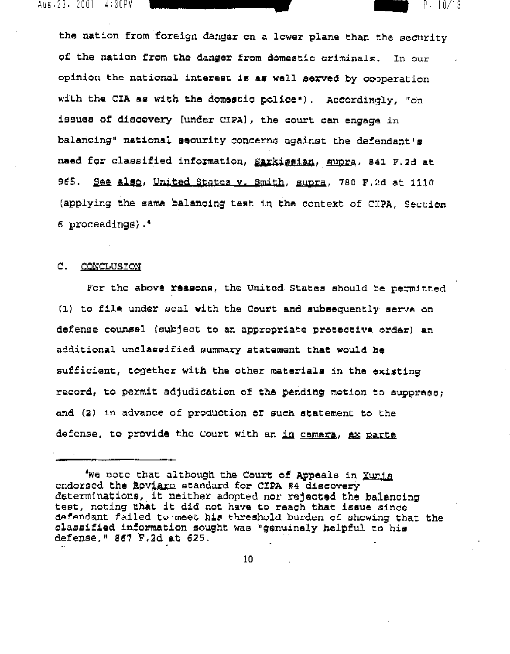Aus 23 2001 4:30PM

the nation from foreign danger on a lower plane than the security of the nation from the danger from domestic criminals. In our opinion the national interest is as well served by cooperation with the CIA as with the domestic police"). Accordingly, "on issues of discovery [under CIPA], the court can engage in balancing" national security concerns against the defendant's need for classified information, Sarkissian, supra, 841 F.2d at 965. See also, United States v. Smith, supra, 780 F.2d at 1110 (applying the same balancing test in the context of CIPA, Section 6 proceedings).<sup>4</sup>

P. 10/13

#### C. CONCLUSION

For the above reasons, the United States should be permitted (1) to file under seal with the Court and subsequently serve on defense counsel (subject to an appropriate protective order) an additional unclassified summary statement that would be sufficient, together with the other materials in the existing record, to permit adjudication of the pending motion to suppress, and (2) in advance of production of such statement to the defense, to provide the Court with an in camera, ax parte

We note that although the Court of Appeals in Yunia endorsed the Roviaro standard for CIPA §4 discovery determinations, it neither adopted nor rejected the balancing test, noting that it did not have to reach that issue since defendant failed to meet his threshold burden of showing that the classified information sought was "genuinely helpful to his defense, " 867 F.2d at 625.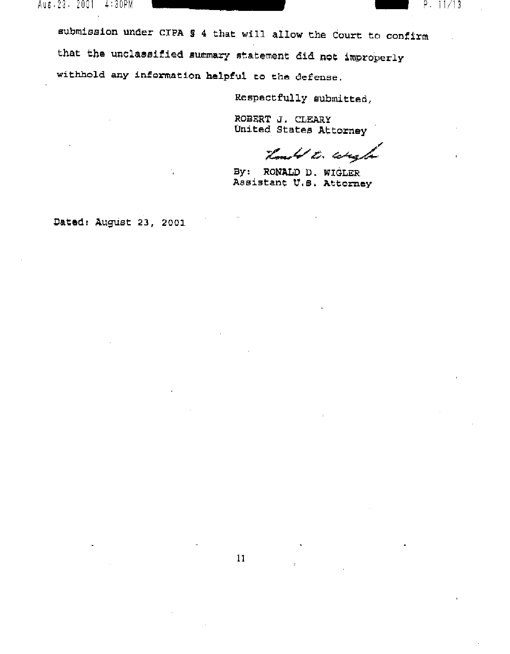Aus.23.2001 4:30PM — P. IIII P. IIII P. III P. III P. III P. III P. III P. III P. III P. III P. III P. III P.

submission under C!PA § 4 that will allow the Court to confirm that the unclassified summary statement did not improperly withhold any information helpful to the defense.

Respectfully submitted,

ROBERT J. CLEARY United States Attorney

,,- *::t:-V.!5,* ~,

By: RONALD D. WIGLER Assistant U.S. Attorney

Dated: August 23, 2001

÷,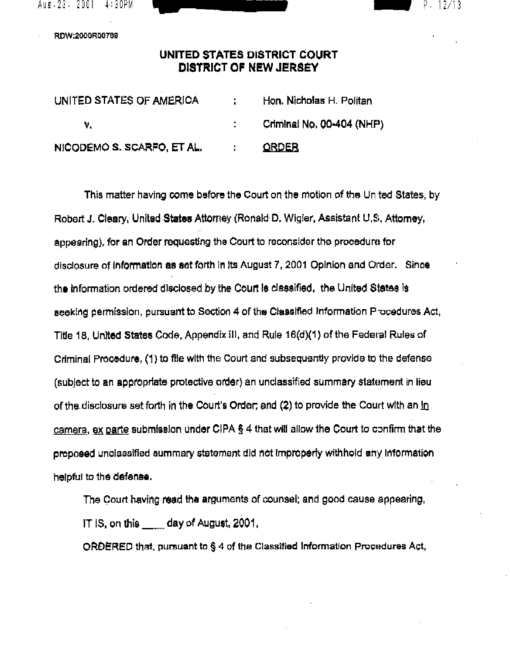

RDW:2000R00769

# **UNITED STATES DISTRICT COURT DISTRICT OF NEW JERSEY**

| UNITED STATES OF AMERICA   |               | Hon, Nicholas H. Politan  |
|----------------------------|---------------|---------------------------|
|                            |               | Criminal No. 00-404 (NHP) |
| NICODEMO S. SCARFO, ET AL. | $\mathcal{L}$ | <b>ORDER</b>              |

This matter having come before the Court on the motion of the Unted States, by Robert J. Cleary, United **States** Attorney (Ronald D. Wlgler. Assistant U.s. Attomey, appearing), for an Order requesting the Court to reconsider the procedure for disclosure of information as set forth in its August 7, 2001 Opinion and Order. Since the information ordered disclosed by the Court is classified, the United States is seeking permission, pursuant to Section 4 of the Classified Information P ocedures Act, Title 18, United States Code, Appendix III, and Rule 16(d)(1) of the Federal Rules of Criminal Procedure, (1) to file with the Court and subsequently provide to the defense (subject to an appropriate protective order) an unclassified summary statement in lieu of the disclosure set forth in the Court's Order; and (2) to provide the Court with an  $\ln$  $c$ amera, ex parte submission under CIPA § 4 that will allow the Court to confirm that the proposed unclassified summary statement did not Improperly withhold any Information helpful to the defense.

The Court having read the arguments of counsel; and good cause appearing, IT IS, on this \_\_\_\_ day of August, 2001.

ORDERED that, pursuant to § 4 of the Classified Information Procedures Act,